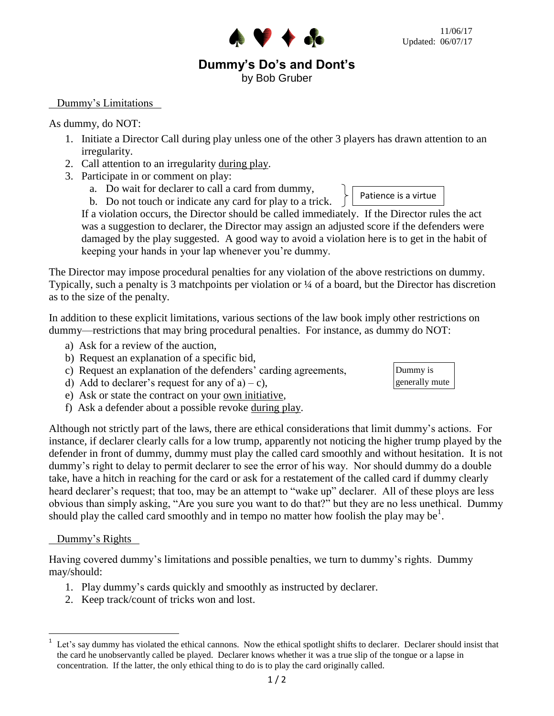# **Dummy's Do's and Dont's**

**AV DE CE** 

by Bob Gruber

## Dummy's Limitations

## As dummy, do NOT:

- 1. Initiate a Director Call during play unless one of the other 3 players has drawn attention to an irregularity.
- 2. Call attention to an irregularity during play.
- 3. Participate in or comment on play:
	- a. Do wait for declarer to call a card from dummy,
	- b. Do not touch or indicate any card for play to a trick.

If a violation occurs, the Director should be called immediately. If the Director rules the act was a suggestion to declarer, the Director may assign an adjusted score if the defenders were damaged by the play suggested. A good way to avoid a violation here is to get in the habit of keeping your hands in your lap whenever you're dummy.

The Director may impose procedural penalties for any violation of the above restrictions on dummy. Typically, such a penalty is 3 matchpoints per violation or ¼ of a board, but the Director has discretion as to the size of the penalty.

In addition to these explicit limitations, various sections of the law book imply other restrictions on dummy—restrictions that may bring procedural penalties. For instance, as dummy do NOT:

- a) Ask for a review of the auction,
- b) Request an explanation of a specific bid,
- c) Request an explanation of the defenders' carding agreements,
- d) Add to declarer's request for any of  $a$ ) c),
- e) Ask or state the contract on your own initiative,
- f) Ask a defender about a possible revoke during play.

Although not strictly part of the laws, there are ethical considerations that limit dummy's actions. For instance, if declarer clearly calls for a low trump, apparently not noticing the higher trump played by the defender in front of dummy, dummy must play the called card smoothly and without hesitation. It is not dummy's right to delay to permit declarer to see the error of his way. Nor should dummy do a double take, have a hitch in reaching for the card or ask for a restatement of the called card if dummy clearly heard declarer's request; that too, may be an attempt to "wake up" declarer. All of these ploys are less obvious than simply asking, "Are you sure you want to do that?" but they are no less unethical. Dummy should play the called card smoothly and in tempo no matter how foolish the play may be<sup>1</sup>.

#### Dummy's Rights

Having covered dummy's limitations and possible penalties, we turn to dummy's rights. Dummy may/should:

- 1. Play dummy's cards quickly and smoothly as instructed by declarer.
- 2. Keep track/count of tricks won and lost.



Patience is a virtue

 $\frac{1}{1}$ Let's say dummy has violated the ethical cannons. Now the ethical spotlight shifts to declarer. Declarer should insist that the card he unobservantly called be played. Declarer knows whether it was a true slip of the tongue or a lapse in concentration. If the latter, the only ethical thing to do is to play the card originally called.